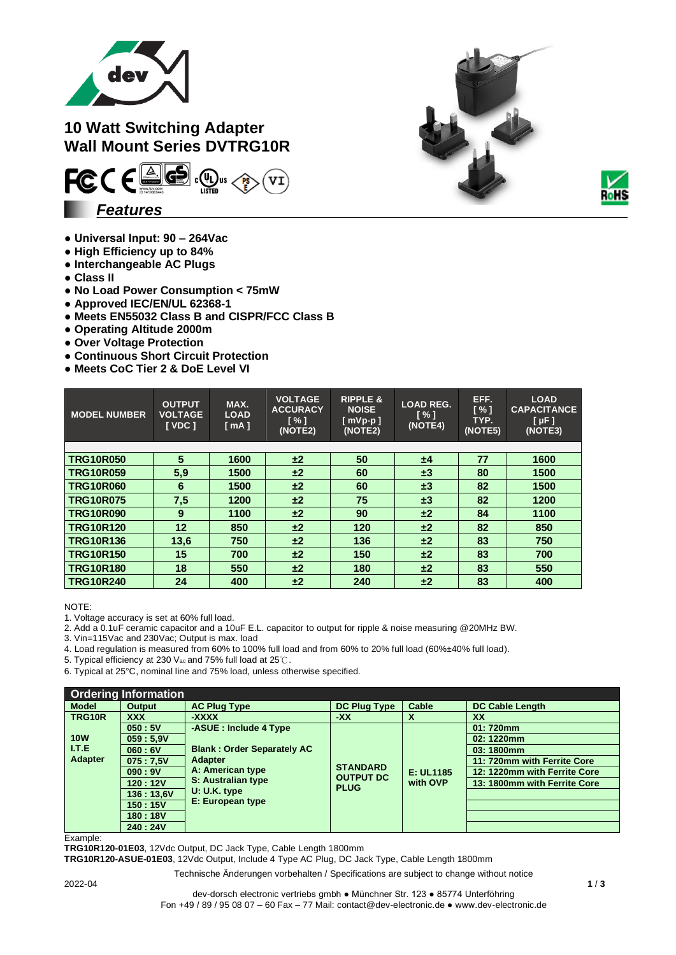

## **10 Watt Switching Adapter Wall Mount Series DVTRG10R**



- **Universal Input: 90 – 264Vac**
- **● High Efficiency up to 84%**
- **● Interchangeable AC Plugs**
- **● Class II**
- **No Load Power Consumption < 75mW**
- **Approved IEC/EN/UL 62368-1**
- **Meets EN55032 Class B and CISPR/FCC Class B**
- **Operating Altitude 2000m**
- **Over Voltage Protection**
- **Continuous Short Circuit Protection**
- **Meets CoC Tier 2 & DoE Level VI**

| <b>MODEL NUMBER</b> | <b>OUTPUT</b><br><b>VOLTAGE</b><br><b>I</b> VDC 1 | MAX.<br><b>LOAD</b><br>[mA] | <b>VOLTAGE</b><br><b>ACCURACY</b><br>$\lceil \% \rceil$<br>(NOTE2) | <b>RIPPLE &amp;</b><br><b>NOISE</b><br>$[$ mVp-p $]$<br>(NOTE2) | <b>LOAD REG.</b><br>[%]<br>(NOTE4) | EFF.<br>$\sqrt{1}$<br>TYP.<br>(NOTE5) | <b>LOAD</b><br><b>CAPACITANCE</b><br>[µF]<br>(NOTE3) |
|---------------------|---------------------------------------------------|-----------------------------|--------------------------------------------------------------------|-----------------------------------------------------------------|------------------------------------|---------------------------------------|------------------------------------------------------|
|                     |                                                   |                             |                                                                    |                                                                 |                                    |                                       |                                                      |
| <b>TRG10R050</b>    | 5                                                 | 1600                        | ±2                                                                 | 50                                                              | ±4                                 | 77                                    | 1600                                                 |
| <b>TRG10R059</b>    | 5,9                                               | 1500                        | ±2                                                                 | 60                                                              | $\pm 3$                            | 80                                    | 1500                                                 |
| <b>TRG10R060</b>    | 6                                                 | 1500                        | ±2                                                                 | 60                                                              | $\pm 3$                            | 82                                    | 1500                                                 |
| <b>TRG10R075</b>    | 7,5                                               | 1200                        | ±2                                                                 | 75                                                              | $\pm 3$                            | 82                                    | 1200                                                 |
| <b>TRG10R090</b>    | 9                                                 | 1100                        | ±2                                                                 | 90                                                              | ±2                                 | 84                                    | 1100                                                 |
| <b>TRG10R120</b>    | 12                                                | 850                         | ±2                                                                 | 120                                                             | ±2                                 | 82                                    | 850                                                  |
| <b>TRG10R136</b>    | 13,6                                              | 750                         | ±2                                                                 | 136                                                             | ±2                                 | 83                                    | 750                                                  |
| <b>TRG10R150</b>    | 15                                                | 700                         | ±2                                                                 | 150                                                             | ±2                                 | 83                                    | 700                                                  |
| <b>TRG10R180</b>    | 18                                                | 550                         | ±2                                                                 | 180                                                             | ±2                                 | 83                                    | 550                                                  |
| <b>TRG10R240</b>    | 24                                                | 400                         | ±2                                                                 | 240                                                             | ±2                                 | 83                                    | 400                                                  |

NOTE:

1. Voltage accuracy is set at 60% full load.

2. Add a 0.1uF ceramic capacitor and a 10uF E.L. capacitor to output for ripple & noise measuring @20MHz BW.

3. Vin=115Vac and 230Vac; Output is max. load

4. Load regulation is measured from 60% to 100% full load and from 60% to 20% full load (60%±40% full load).

5. Typical efficiency at 230 Vac and 75% full load at 25℃.

6. Typical at 25°C, nominal line and 75% load, unless otherwise specified.

|                | <b>Ordering Information</b> |                                                                                               |                                                    |                           |                              |
|----------------|-----------------------------|-----------------------------------------------------------------------------------------------|----------------------------------------------------|---------------------------|------------------------------|
| <b>Model</b>   | Output                      | <b>AC Plug Type</b>                                                                           | <b>DC Plug Type</b>                                | Cable                     | <b>DC Cable Length</b>       |
| TRG10R         | <b>XXX</b>                  | -XXXX                                                                                         | -XX                                                | $\boldsymbol{\mathsf{A}}$ | <b>XX</b>                    |
|                | 050:5V                      | -ASUE: Include 4 Type                                                                         |                                                    |                           | 01:720mm                     |
| <b>10W</b>     | 059:5.9V                    |                                                                                               |                                                    |                           | 02:1220mm                    |
| I.T.E          | 060:6V                      | <b>Blank: Order Separately AC</b><br><b>Adapter</b><br>A: American type<br>S: Australian type |                                                    | E: UL1185<br>with OVP     | 03:1800mm                    |
| <b>Adapter</b> | 075:7.5V                    |                                                                                               | <b>STANDARD</b><br><b>OUTPUT DC</b><br><b>PLUG</b> |                           | 11: 720mm with Ferrite Core  |
|                | 090:9V                      |                                                                                               |                                                    |                           | 12: 1220mm with Ferrite Core |
|                | 120:12V                     |                                                                                               |                                                    |                           | 13: 1800mm with Ferrite Core |
|                | 136:13,6V                   | U: U.K. type                                                                                  |                                                    |                           |                              |
|                | 150:15V                     | E: European type                                                                              |                                                    |                           |                              |
|                | 180:18V                     |                                                                                               |                                                    |                           |                              |
|                | 240:24V                     |                                                                                               |                                                    |                           |                              |

Example:

**TRG10R120-01E03**, 12Vdc Output, DC Jack Type, Cable Length 1800mm

**TRG10R120-ASUE-01E03**, 12Vdc Output, Include 4 Type AC Plug, DC Jack Type, Cable Length 1800mm



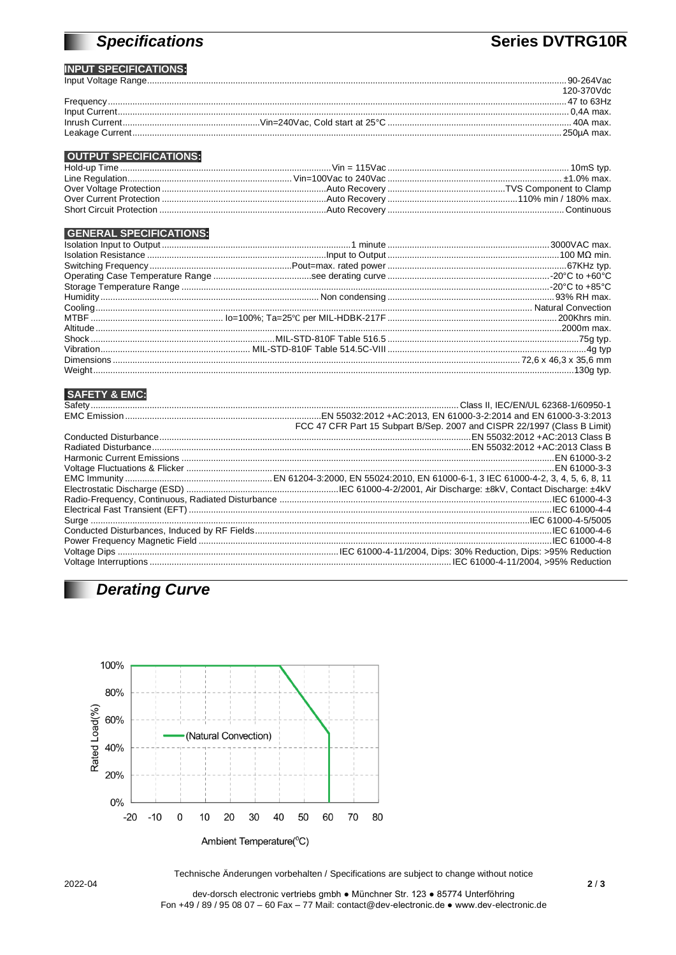# **Specifications**

## **Series DVTRG10R**

#### **INPUT SPECIFICATIONS:**

| $\mathbf{m}$ or control to $\mathbf{m}$ . |            |
|-------------------------------------------|------------|
|                                           |            |
|                                           | 120-370Vdc |
|                                           |            |
|                                           |            |
|                                           |            |
|                                           |            |

#### **OUTPUT SPECIFICATIONS:**

### **GENERAL SPECIFICATIONS:**

#### **SAFETY & EMC:**

| FCC 47 CFR Part 15 Subpart B/Sep. 2007 and CISPR 22/1997 (Class B Limit) |
|--------------------------------------------------------------------------|
|                                                                          |
|                                                                          |
|                                                                          |
|                                                                          |
|                                                                          |
|                                                                          |
|                                                                          |
|                                                                          |
|                                                                          |
|                                                                          |
|                                                                          |
|                                                                          |
|                                                                          |

## **Derating Curve**



2022-04

Technische Änderungen vorbehalten / Specifications are subject to change without notice